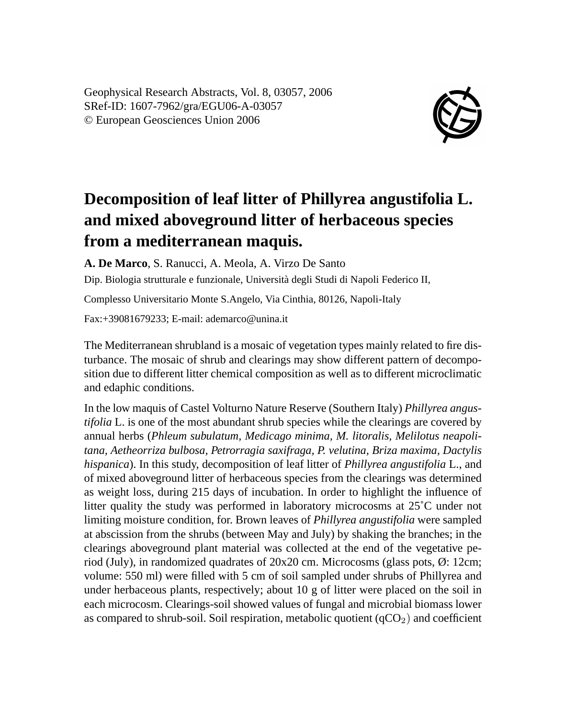Geophysical Research Abstracts, Vol. 8, 03057, 2006 SRef-ID: 1607-7962/gra/EGU06-A-03057 © European Geosciences Union 2006



## **Decomposition of leaf litter of Phillyrea angustifolia L. and mixed aboveground litter of herbaceous species from a mediterranean maquis.**

**A. De Marco**, S. Ranucci, A. Meola, A. Virzo De Santo

Dip. Biologia strutturale e funzionale, Università degli Studi di Napoli Federico II,

Complesso Universitario Monte S.Angelo, Via Cinthia, 80126, Napoli-Italy

Fax:+39081679233; E-mail: ademarco@unina.it

The Mediterranean shrubland is a mosaic of vegetation types mainly related to fire disturbance. The mosaic of shrub and clearings may show different pattern of decomposition due to different litter chemical composition as well as to different microclimatic and edaphic conditions.

In the low maquis of Castel Volturno Nature Reserve (Southern Italy) *Phillyrea angustifolia* L. is one of the most abundant shrub species while the clearings are covered by annual herbs (*Phleum subulatum, Medicago minima, M. litoralis, Melilotus neapolitana, Aetheorriza bulbosa, Petrorragia saxifraga, P. velutina, Briza maxima, Dactylis hispanica*). In this study, decomposition of leaf litter of *Phillyrea angustifolia* L., and of mixed aboveground litter of herbaceous species from the clearings was determined as weight loss, during 215 days of incubation. In order to highlight the influence of litter quality the study was performed in laboratory microcosms at 25˚C under not limiting moisture condition, for. Brown leaves of *Phillyrea angustifolia* were sampled at abscission from the shrubs (between May and July) by shaking the branches; in the clearings aboveground plant material was collected at the end of the vegetative period (July), in randomized quadrates of 20x20 cm. Microcosms (glass pots, Ø: 12cm; volume: 550 ml) were filled with 5 cm of soil sampled under shrubs of Phillyrea and under herbaceous plants, respectively; about 10 g of litter were placed on the soil in each microcosm. Clearings-soil showed values of fungal and microbial biomass lower as compared to shrub-soil. Soil respiration, metabolic quotient  $(qCO<sub>2</sub>)$  and coefficient